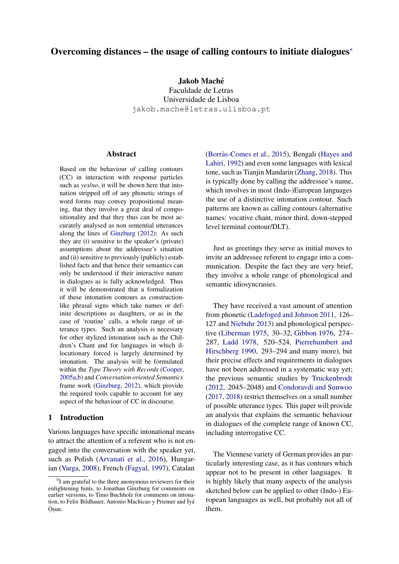## Overcoming distances – the usage of calling contours to initiate dialogue[s](#page-0-0)<sup>∗</sup>

## Jakob Maché

Faculdade de Letras Universidade de Lisboa jakob.mache@letras.ulisboa.pt

## **Abstract**

Based on the behaviour of calling contours (CC) in interaction with response particles such as *yes*/*no*, it will be shown here that intonation stripped off of any phonetic strings of word forms may convey propositional meaning, that they involve a great deal of compositionality and that they thus can be most accurately analysed as non sentential utterances along the lines of [Ginzburg](#page-10-0) [\(2012\)](#page-10-0): As such they are (i) sensitive to the speaker's (private) assumptions about the addressee's situation and (ii) sensitive to previously (publicly) established facts and that hence their semantics can only be understood if their interactive nature in dialogues as is fully acknowledged. Thus it will be demonstrated that a formalization of these intonation contours as constructionlike phrasal signs which take names or definite descriptions as daughters, or as in the case of 'routine' calls, a whole range of utterance types. Such an analysis is necessary for other stylized intonation such as the Children's Chant and for languages in which illocutionary forced is largely determined by intonation. The analysis will be formulated within the *Type Theory with Records* [\(Cooper,](#page-10-1) [2005a](#page-10-1)[,b\)](#page-10-2) and *Conversation oriented Semantics* frame work [\(Ginzburg,](#page-10-0) [2012\)](#page-10-0), which provide the required tools capable to account for any aspect of the behaviour of CC in discourse.

### 1 Introduction

Various languages have specific intonational means to attract the attention of a referent who is not engaged into the conversation with the speaker yet, such as Polish [\(Arvanati et al.,](#page-10-3) [2016\)](#page-10-3), Hungarian [\(Varga,](#page-11-0) [2008\)](#page-11-0), French [\(Fagyal,](#page-10-4) [1997\)](#page-10-4), Catalan

(Borràs-Comes et al., [2015\)](#page-10-5), Bengali [\(Hayes and](#page-10-6) [Lahiri,](#page-10-6) [1992\)](#page-10-6) and even some languages with lexical tone, such as Tianjin Mandarin [\(Zhang,](#page-11-1) [2018\)](#page-11-1). This is typically done by calling the addressee's name, which involves in most (Indo-)European languages the use of a distinctive intonation contour. Such patterns are known as calling contours (alternative names: vocative chant, minor third, down-stepped level terminal contour/DLT).

Just as greetings they serve as initial moves to invite an addressee referent to engage into a communication. Despite the fact they are very brief, they involve a whole range of phonological and semantic idiosyncrasies.

They have received a vast amount of attention from phonetic [\(Ladefoged and Johnson](#page-11-2) [2011,](#page-11-2) 126– 127 and [Niebuhr](#page-11-3) [2013\)](#page-11-3) and phonological perspective [\(Liberman](#page-11-4) [1975,](#page-11-4) 30–32, [Gibbon](#page-10-7) [1976,](#page-10-7) 274– 287, [Ladd](#page-10-8) [1978,](#page-10-8) 520–524, [Pierrehumbert and](#page-11-5) [Hirschberg](#page-11-5) [1990,](#page-11-5) 293–294 and many more), but their precise effects and requirements in dialogues have not been addressed in a systematic way yet; the previous semantic studies by [Truckenbrodt](#page-11-6) [\(2012,](#page-11-6) 2045–2048) and [Condoravdi and Sunwoo](#page-10-9) [\(2017,](#page-10-9) [2018\)](#page-10-10) restrict themselves on a small number of possible utterance types. This paper will provide an analysis that explains the semantic behaviour in dialogues of the complete range of known CC, including interrogative CC.

The Viennese variety of German provides an particularly interesting case, as it has contours which appear not to be present in other languages. It is highly likely that many aspects of the analysis sketched below can be applied to other (Indo-) European languages as well, but probably not all of them.

<span id="page-0-0"></span> ${}^{0}$ I am grateful to the three anonymous reviewers for their enlightening hints, to Jonathan Ginzburg for comments on earlier versions, to Timo Buchholz for comments on intonation, to Felix Bildhauer, Antonio Machicao y Priemer and Ìyá O` . s.un.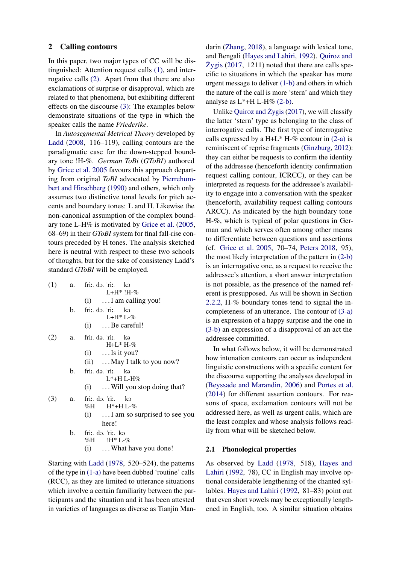### 2 Calling contours

In this paper, two major types of CC will be distinguished: Attention request calls [\(1\),](#page-1-0) and interrogative calls [\(2\).](#page-1-1) Apart from that there are also exclamations of surprise or disapproval, which are related to that phenomena, but exhibiting different effects on the discourse [\(3\):](#page-1-2) The examples below demonstrate situations of the type in which the speaker calls the name *Friederike*.

In *Autosegmental Metrical Theory* developed by [Ladd](#page-11-7) [\(2008,](#page-11-7) 116–119), calling contours are the paradigmatic case for the down-stepped boundary tone !H-%. *German ToBi* (*GToBI*) authored by [Grice et al.](#page-10-11) [2005](#page-10-11) favours this approach departing from original *ToBI* advocated by [Pierrehum](#page-11-5)[bert and Hirschberg](#page-11-5) [\(1990\)](#page-11-5) and others, which only assumes two distinctive tonal levels for pitch accents and boundary tones: L and H. Likewise the non-canonical assumption of the complex boundary tone L-H% is motivated by [Grice et al.](#page-10-11) [\(2005,](#page-10-11) 68–69) in their *GToBI* system for final fall-rise contours preceded by H tones. The analysis sketched here is neutral with respect to these two schools of thoughts, but for the sake of consistency Ladd's standard *GToBI* will be employed.

<span id="page-1-9"></span><span id="page-1-6"></span><span id="page-1-5"></span><span id="page-1-4"></span><span id="page-1-3"></span><span id="page-1-1"></span><span id="page-1-0"></span>

| (1) |    | a. fri: də ri: kə<br>$L+H^*$ !H-%           |
|-----|----|---------------------------------------------|
|     |    | $(i)$ I am calling you!                     |
|     | b. | fri: də ri: kə                              |
|     |    | $L+H^*L-\%$<br>$(i)$ Be careful!            |
| (2) | a. | fri: də ri: kə<br>$H + L^* H - \%$          |
|     |    | $(i)$ Is it you?                            |
|     |    | (ii) $\ldots$ May I talk to you now?        |
|     | b. | fri: də 'ri: kə<br>$L^*$ +H L-H%            |
|     |    | $(i)$ Will you stop doing that?             |
| (3) | a. | fri: də ri: kə<br>$%H$ $H^*+H$ L- $%$       |
|     |    | $(i)$ I am so surprised to see you<br>here! |
|     | b. | frii. də. rii. kə<br>$%H$ !H* L-%           |
|     |    | $(i) \dots$ What have you done!             |
|     |    |                                             |

<span id="page-1-8"></span><span id="page-1-7"></span><span id="page-1-2"></span>Starting with [Ladd](#page-10-8) [\(1978,](#page-10-8) 520–524), the patterns of the type in [\(1-a\)](#page-1-3) have been dubbed 'routine' calls (RCC), as they are limited to utterance situations which involve a certain familiarity between the participants and the situation and it has been attested in varieties of languages as diverse as Tianjin Man-

darin [\(Zhang,](#page-11-1) [2018\)](#page-11-1), a language with lexical tone, and Bengali [\(Hayes and Lahiri,](#page-10-6) [1992\)](#page-10-6). [Quiroz and](#page-11-8)  $\angle Z$ ygis [\(2017,](#page-11-8) 1211) noted that there are calls specific to situations in which the speaker has more urgent message to deliver [\(1-b\)](#page-1-4) and others in which the nature of the call is more 'stern' and which they analyse as  $L^*$ +H L-H% [\(2-b\).](#page-1-5)

Unlike [Quiroz and](#page-11-8)  $\dot{Z}$ ygis [\(2017\)](#page-11-8), we will classify the latter 'stern' type as belonging to the class of interrogative calls. The first type of interrogative calls expressed by a H+L\* H-% contour in  $(2-a)$  is reminiscent of reprise fragments [\(Ginzburg,](#page-10-0) [2012\)](#page-10-0): they can either be requests to confirm the identity of the addressee (henceforth identity confirmation request calling contour, ICRCC), or they can be interpreted as requests for the addressee's availability to engage into a conversation with the speaker (henceforth, availability request calling contours ARCC). As indicated by the high boundary tone H-%, which is typical of polar questions in German and which serves often among other means to differentiate between questions and assertions (cf. [Grice et al.](#page-10-11) [2005,](#page-10-11) 70–74, [Peters](#page-11-9) [2018,](#page-11-9) 95), the most likely interpretation of the pattern in [\(2-b\)](#page-1-5) is an interrogative one, as a request to receive the addressee's attention, a short answer interpretation is not possible, as the presence of the named referent is presupposed. As will be shown in Section [2.2.2,](#page-3-0) H-% boundary tones tend to signal the incompleteness of an utterance. The contour of [\(3-a\)](#page-1-7) is an expression of a happy surprise and the one in [\(3-b\)](#page-1-8) an expression of a disapproval of an act the addressee committed.

In what follows below, it will be demonstrated how intonation contours can occur as independent linguistic constructions with a specific content for the discourse supporting the analyses developed in [\(Beyssade and Marandin,](#page-10-12) [2006\)](#page-10-12) and [Portes et al.](#page-11-10) [\(2014\)](#page-11-10) for different assertion contours. For reasons of space, exclamation contours will not be addressed here, as well as urgent calls, which are the least complex and whose analysis follows readily from what will be sketched below.

#### 2.1 Phonological properties

As observed by [Ladd](#page-10-8) [\(1978,](#page-10-8) 518), [Hayes and](#page-10-6) [Lahiri](#page-10-6) [\(1992,](#page-10-6) 78), CC in English may involve optional considerable lengthening of the chanted syllables. [Hayes and Lahiri](#page-10-6) [\(1992,](#page-10-6) 81–83) point out that even short vowels may be exceptionally lengthened in English, too. A similar situation obtains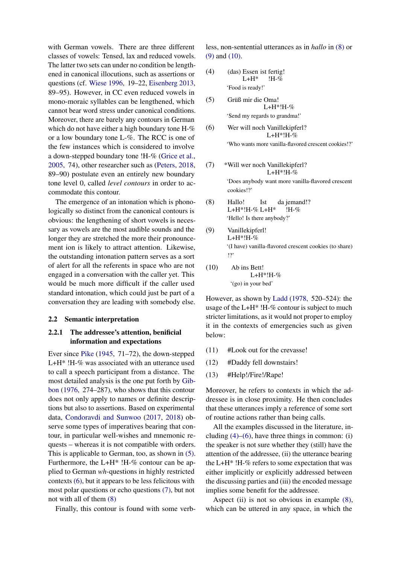with German vowels. There are three different classes of vowels: Tensed, lax and reduced vowels. The latter two sets can under no condition be lengthened in canonical illocutions, such as assertions or questions (cf. [Wiese](#page-11-11) [1996,](#page-11-11) 19–22, [Eisenberg](#page-10-13) [2013,](#page-10-13) 89–95). However, in CC even reduced vowels in mono-moraic syllables can be lengthened, which cannot bear word stress under canonical conditions. Moreover, there are barely any contours in German which do not have either a high boundary tone H-% or a low boundary tone L-%. The RCC is one of the few instances which is considered to involve a down-stepped boundary tone !H-% [\(Grice et al.,](#page-10-11) [2005,](#page-10-11) 74), other researcher such as [\(Peters,](#page-11-9) [2018,](#page-11-9) 89–90) postulate even an entirely new boundary tone level 0, called *level contours* in order to accommodate this contour.

The emergence of an intonation which is phonologically so distinct from the canonical contours is obvious: the lengthening of short vowels is necessary as vowels are the most audible sounds and the longer they are stretched the more their pronouncement ion is likely to attract attention. Likewise, the outstanding intonation pattern serves as a sort of alert for all the referents in space who are not engaged in a conversation with the caller yet. This would be much more difficult if the caller used standard intonation, which could just be part of a conversation they are leading with somebody else.

#### <span id="page-2-9"></span>2.2 Semantic interpretation

## 2.2.1 The addressee's attention, benificial information and expectations

Ever since [Pike](#page-11-12) [\(1945,](#page-11-12) 71–72), the down-stepped L+H\* !H-% was associated with an utterance used to call a speech participant from a distance. The most detailed analysis is the one put forth by [Gib](#page-10-7)[bon](#page-10-7) [\(1976,](#page-10-7) 274–287), who shows that this contour does not only apply to names or definite descriptions but also to assertions. Based on experimental data, [Condoravdi and Sunwoo](#page-10-9) [\(2017,](#page-10-9) [2018\)](#page-10-10) observe some types of imperatives bearing that contour, in particular well-wishes and mnemonic requests – whereas it is not compatible with orders. This is applicable to German, too, as shown in [\(5\).](#page-2-0) Furthermore, the L+H\* !H-% contour can be applied to German *wh*-questions in highly restricted contexts [\(6\),](#page-2-1) but it appears to be less felicitous with most polar questions or echo questions [\(7\),](#page-2-2) but not not with all of them [\(8\)](#page-2-3)

Finally, this contour is found with some verb-

less, non-sentential utterances as in *hallo* in [\(8\)](#page-2-3) or [\(9\)](#page-2-4) and [\(10\).](#page-2-5)

- <span id="page-2-6"></span>(4) (das) Essen ist fertig!  $L+H^*$ !H-% 'Food is ready!'
- <span id="page-2-0"></span>(5) Grüß mir die Oma! L+H\*!H-% 'Send my regards to grandma!'
- <span id="page-2-1"></span>(6) Wer will noch Vanillekipferl? L+H\*!H-% 'Who wants more vanilla-flavored crescent cookies!?'

<span id="page-2-2"></span>(7) 
$$
*Will
$$
 were noch Vanillekipferl?

\nL+H\*!H-%

\n'Does anybody want more vanilla-flavored crescent

<span id="page-2-3"></span>(8) Hallo! L+H\*!H-% L+H\* Ist da jemand!? !H-% 'Hello! Is there anybody?'

- <span id="page-2-4"></span>(9) Vanillekipferl! L+H\*!H-% '(I have) vanilla-flavored crescent cookies (to share) !?'
- <span id="page-2-5"></span>(10) Ab ins Bett! L+H\*!H-% '(go) in your bed'

cookies!?'

However, as shown by [Ladd](#page-10-8) [\(1978,](#page-10-8) 520–524): the usage of the  $L+H^*$ !H-% contour is subject to much stricter limitations, as it would not proper to employ it in the contexts of emergencies such as given below:

- <span id="page-2-7"></span>(11) #Look out for the crevasse!
- <span id="page-2-8"></span>(12) #Daddy fell downstairs!
- (13) #Help!/Fire!/Rape!

Moreover, he refers to contexts in which the addressee is in close proximity. He then concludes that these utterances imply a reference of some sort of routine actions rather than being calls.

All the examples discussed in the literature, including  $(4)$ – $(6)$ , have three things in common: (i) the speaker is not sure whether they (still) have the attention of the addressee, (ii) the utterance bearing the L+H\* !H-% refers to some expectation that was either implicitly or explicitly addressed between the discussing parties and (iii) the encoded message implies some benefit for the addressee.

Aspect (ii) is not so obvious in example [\(8\),](#page-2-3) which can be uttered in any space, in which the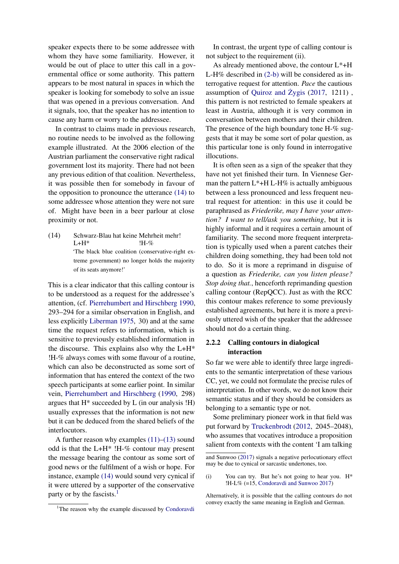speaker expects there to be some addressee with whom they have some familiarity. However, it would be out of place to utter this call in a governmental office or some authority. This pattern appears to be most natural in spaces in which the speaker is looking for somebody to solve an issue that was opened in a previous conversation. And it signals, too, that the speaker has no intention to cause any harm or worry to the addressee.

In contrast to claims made in previous research, no routine needs to be involved as the following example illustrated. At the 2006 election of the Austrian parliament the conservative right radical government lost its majority. There had not been any previous edition of that coalition. Nevertheless, it was possible then for somebody in favour of the opposition to pronounce the utterance [\(14\)](#page-3-1) to some addressee whose attention they were not sure of. Might have been in a beer parlour at close proximity or not.

<span id="page-3-1"></span>(14) Schwarz-Blau hat keine Mehrheit mehr!  $L+H^*$ !H-% 'The black blue coalition (conservative-right extreme government) no longer holds the majority of its seats anymore!'

This is a clear indicator that this calling contour is to be understood as a request for the addressee's attention, (cf. [Pierrehumbert and Hirschberg](#page-11-5) [1990,](#page-11-5) 293–294 for a similar observation in English, and less explicitly [Liberman](#page-11-4) [1975,](#page-11-4) 30) and at the same time the request refers to information, which is sensitive to previously established information in the discourse. This explains also why the  $L+H^*$ !H-% always comes with some flavour of a routine, which can also be deconstructed as some sort of information that has entered the context of the two speech participants at some earlier point. In similar vein, [Pierrehumbert and Hirschberg](#page-11-5) [\(1990,](#page-11-5) 298) argues that  $H^*$  succeeded by  $L$  (in our analysis  $H$ ) usually expresses that the information is not new but it can be deduced from the shared beliefs of the interlocutors.

A further reason why examples [\(11\)–](#page-2-7)[\(13\)](#page-2-8) sound odd is that the L+H\* !H-% contour may present the message bearing the contour as some sort of good news or the fulfilment of a wish or hope. For instance, example [\(14\)](#page-3-1) would sound very cynical if it were uttered by a supporter of the conservative party or by the fascists.<sup>[1](#page-3-2)</sup>

[In contrast, the urgent type of calling contour is](#page-10-9) [not subject to the requirement \(ii\).](#page-10-9)

[As already mentioned above, the contour L\\*+H](#page-10-9) L-H% described in [\(2-b\)](#page-1-5) [will be considered as in](#page-10-9)[terrogative request for attention.](#page-10-9) *Pace* the cautious assumption of [Quiroz and](#page-11-8)  $\dot{Z}$ ygis (2017, 1211), [this pattern is not restricted to female speakers at](#page-10-9) [least in Austria, although it is very common in](#page-10-9) [conversation between mothers and their children.](#page-10-9) [The presence of the high boundary tone H-% sug](#page-10-9)[gests that it may be some sort of polar question, as](#page-10-9) [this particular tone is only found in interrogative](#page-10-9) [illocutions.](#page-10-9)

[It is often seen as a sign of the speaker that they](#page-10-9) [have not yet finished their turn. In Viennese Ger](#page-10-9)man the pattern  $L^*$ +H L-H% is actually ambiguous [between a less pronounced and less frequent neu](#page-10-9)[tral request for attention: in this use it could be](#page-10-9) paraphrased as *[Friederike, may I have your atten](#page-10-9)[tion? I want to tell/ask you something](#page-10-9)*, but it is [highly informal and it requires a certain amount of](#page-10-9) [familiarity. The second more frequent interpreta](#page-10-9)[tion is typically used when a parent catches their](#page-10-9) [children doing something, they had been told not](#page-10-9) [to do. So it is more a reprimand in disguise of](#page-10-9) a question as *[Friederike, can you listen please?](#page-10-9) Stop doing that.*[, henceforth reprimanding question](#page-10-9) [calling contour \(RepQCC\). Just as with the RCC](#page-10-9) [this contour makes reference to some previously](#page-10-9) [established agreements, but here it is more a previ](#page-10-9)[ously uttered wish of the speaker that the addressee](#page-10-9) [should not do a certain thing.](#page-10-9)

## <span id="page-3-0"></span>[2.2.2 Calling contours in dialogical](#page-10-9) [interaction](#page-10-9)

[So far we were able to identify three large ingredi](#page-10-9)[ents to the semantic interpretation of these various](#page-10-9) [CC, yet, we could not formulate the precise rules of](#page-10-9) [interpretation. In other words, we do not know their](#page-10-9) [semantic status and if they should be considers as](#page-10-9) [belonging to a semantic type or not.](#page-10-9)

[Some preliminary pioneer work in that field was](#page-10-9) put forward by [Truckenbrodt](#page-11-6) [\(2012, 2045–2048\),](#page-10-9) [who assumes that vocatives introduce a proposition](#page-10-9) [salient from contexts with the content 'I am talking](#page-10-9)

<span id="page-3-2"></span><sup>&</sup>lt;sup>1</sup>The reason why the example discussed by [Condoravdi](#page-10-9)

[and Sunwoo](#page-10-9) [\(2017\)](#page-10-9) signals a negative perlocutionary effect may be due to cynical or sarcastic undertones, too.

<sup>(</sup>i) You can try. But he's not going to hear you. H\* !H-L% (=15, [Condoravdi and Sunwoo](#page-10-9) [2017\)](#page-10-9)

Alternatively, it is possible that the calling contours do not convey exactly the same meaning in English and German.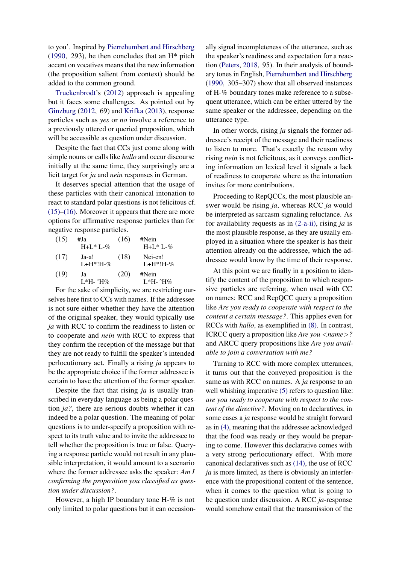to you'. Inspired by [Pierrehumbert and Hirschberg](#page-11-5) [\(1990,](#page-11-5) 293), he then concludes that an  $H^*$  pitch accent on vocatives means that the new information (the proposition salient from context) should be added to the common ground.

[Truckenbrodt'](#page-11-6)s [\(2012\)](#page-11-6) approach is appealing but it faces some challenges. As pointed out by [Ginzburg](#page-10-0) [\(2012,](#page-10-0) 69) and [Krifka](#page-10-14) [\(2013\)](#page-10-14), response particles such as *yes* or *no* involve a reference to a previously uttered or queried proposition, which will be accessible as question under discussion.

Despite the fact that CCs just come along with simple nouns or calls like *hallo* and occur discourse initially at the same time, they surprisingly are a licit target for *ja* and *nein* responses in German.

It deserves special attention that the usage of these particles with their canonical intonation to react to standard polar questions is not felicitous cf.  $(15)$ – $(16)$ . Moreover it appears that there are more options for affirmative response particles than for negative response particles.

<span id="page-4-1"></span><span id="page-4-0"></span>

| (15) | #Ja              | (16) | #Nein       |
|------|------------------|------|-------------|
|      | $H + L^* L - \%$ |      | $H+L*L-%$   |
| (17) | Ja-a!            | (18) | Nei-en!     |
|      | $L+H^*H-\%$      |      | $L+H^*H-\%$ |
| (19) | Ja               | (20) | #Nein       |
|      | L*H- ^H%         |      | $L*H-+H\%$  |

For the sake of simplicity, we are restricting ourselves here first to CCs with names. If the addressee is not sure either whether they have the attention of the original speaker, they would typically use *ja* with RCC to confirm the readiness to listen or to cooperate and *nein* with RCC to express that they confirm the reception of the message but that they are not ready to fulfill the speaker's intended perlocutionary act. Finally a rising *ja* appears to be the appropriate choice if the former addressee is certain to have the attention of the former speaker.

Despite the fact that rising *ja* is usually transcribed in everyday language as being a polar question *ja?*, there are serious doubts whether it can indeed be a polar question. The meaning of polar questions is to under-specify a proposition with respect to its truth value and to invite the addressee to tell whether the proposition is true or false. Querying a response particle would not result in any plausible interpretation, it would amount to a scenario where the former addressee asks the speaker: *Am I confirming the proposition you classified as question under discussion?*.

However, a high IP boundary tone H-% is not only limited to polar questions but it can occasion-

ally signal incompleteness of the utterance, such as the speaker's readiness and expectation for a reaction [\(Peters,](#page-11-9) [2018,](#page-11-9) 95). In their analysis of boundary tones in English, [Pierrehumbert and Hirschberg](#page-11-5) [\(1990,](#page-11-5) 305–307) show that all observed instances of H-% boundary tones make reference to a subsequent utterance, which can be either uttered by the same speaker or the addressee, depending on the utterance type.

In other words, rising *ja* signals the former addressee's receipt of the message and their readiness to listen to more. That's exactly the reason why rising *nein* is not felicitous, as it conveys conflicting information on lexical level it signals a lack of readiness to cooperate where as the intonation invites for more contributions.

Proceeding to RepQCCs, the most plausible answer would be rising *ja*, whereas RCC *ja* would be interpreted as sarcasm signaling reluctance. As for availability requests as in [\(2-a-ii\),](#page-1-9) rising *ja* is the most plausible response, as they are usually employed in a situation where the speaker is has their attention already on the addressee, which the addressee would know by the time of their response.

At this point we are finally in a position to identify the content of the proposition to which responsive particles are referring, when used with CC on names: RCC and RepQCC query a proposition like *Are you ready to cooperate with respect to the content a certain message?*. This applies even for RCCs with *hallo*, as exemplified in [\(8\).](#page-2-3) In contrast, ICRCC query a proposition like *Are you* <*name*>*?* and ARCC query propositions like *Are you available to join a conversation with me?*

Turning to RCC with more complex utterances, it turns out that the conveyed proposition is the same as with RCC on names. A *ja* response to an well whishing imperative  $(5)$  refers to question like: *are you ready to cooperate with respect to the content of the directive?*. Moving on to declaratives, in some cases a *ja* response would be straight forward as in [\(4\),](#page-2-6) meaning that the addressee acknowledged that the food was ready or they would be preparing to come. However this declarative comes with a very strong perlocutionary effect. With more canonical declaratives such as [\(14\),](#page-3-1) the use of RCC *ja* is more limited, as there is obviously an interference with the propositional content of the sentence, when it comes to the question what is going to be question under discussion. A RCC *ja*-response would somehow entail that the transmission of the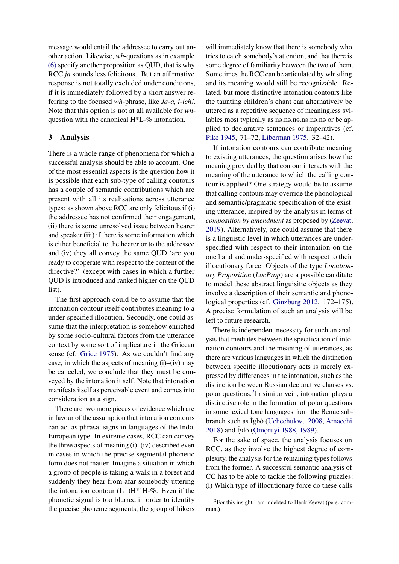message would entail the addressee to carry out another action. Likewise, *wh*-questions as in example [\(6\)](#page-2-1) specify another proposition as QUD, that is why RCC *ja* sounds less felicitous.. But an affirmative response is not totally excluded under conditions, if it is immediately followed by a short answer referring to the focused *wh*-phrase, like *Ja-a, i-ich!*. Note that this option is not at all available for *wh*question with the canonical H\*L-% intonation.

## 3 Analysis

There is a whole range of phenomena for which a successful analysis should be able to account. One of the most essential aspects is the question how it is possible that each sub-type of calling contours has a couple of semantic contributions which are present with all its realisations across utterance types: as shown above RCC are only felicitous if (i) the addressee has not confirmed their engagement, (ii) there is some unresolved issue between hearer and speaker (iii) if there is some information which is either beneficial to the hearer or to the addressee and (iv) they all convey the same QUD 'are you ready to cooperate with respect to the content of the directive?' (except with cases in which a further QUD is introduced and ranked higher on the QUD list).

The first approach could be to assume that the intonation contour itself contributes meaning to a under-specified illocution. Secondly, one could assume that the interpretation is somehow enriched by some socio-cultural factors from the utterance context by some sort of implicature in the Gricean sense (cf. [Grice](#page-10-15) [1975\)](#page-10-15). As we couldn't find any case, in which the aspects of meaning  $(i)$ – $(iv)$  may be canceled, we conclude that they must be conveyed by the intonation it self. Note that intonation manifests itself as perceivable event and comes into consideration as a sign.

There are two more pieces of evidence which are in favour of the assumption that intonation contours can act as phrasal signs in languages of the Indo-European type. In extreme cases, RCC can convey the three aspects of meaning  $(i)$ – $(iv)$  described even in cases in which the precise segmental phonetic form does not matter. Imagine a situation in which a group of people is taking a walk in a forest and suddenly they hear from afar somebody uttering the intonation contour  $(L+)H^*H-\%$ . Even if the phonetic signal is too blurred in order to identify the precise phoneme segments, the group of hikers

will immediately know that there is somebody who tries to catch somebody's attention, and that there is some degree of familiarity between the two of them. Sometimes the RCC can be articulated by whistling and its meaning would still be recognizable. Related, but more distinctive intonation contours like the taunting children's chant can alternatively be uttered as a repetitive sequence of meaningless syllables most typically as no.no.no.no.no.no or be applied to declarative sentences or imperatives (cf. [Pike](#page-11-12) [1945,](#page-11-12) 71–72, [Liberman](#page-11-4) [1975,](#page-11-4) 32–42).

If intonation contours can contribute meaning to existing utterances, the question arises how the meaning provided by that contour interacts with the meaning of the utterance to which the calling contour is applied? One strategy would be to assume that calling contours may override the phonological and semantic/pragmatic specification of the existing utterance, inspired by the analysis in terms of *composition by amendment* as proposed by [\(Zeevat,](#page-11-13) [2019\)](#page-11-13). Alternatively, one could assume that there is a linguistic level in which utterances are underspecified with respect to their intonation on the one hand and under-specified with respect to their illocutionary force. Objects of the type *Locutionary Proposition* (*LocProp*) are a possible canditate to model these abstract linguisitic objects as they involve a description of their semantic and phonological properties (cf. [Ginzburg](#page-10-0) [2012,](#page-10-0) 172–175). A precise formulation of such an analysis will be left to future research.

There is independent necessity for such an analysis that mediates between the specification of intonation contours and the meaning of utterances, as there are various languages in which the distinction between specific illocutionary acts is merely expressed by differences in the intonation, such as the distinction between Russian declarative clauses vs. polar questions.<sup>[2](#page-5-0)</sup>In similar vein, intonation plays a distinctive role in the formation of polar questions in some lexical tone languages from the Benue sub-branch such as Igbò ([Uchechukwu](#page-11-14) [2008,](#page-11-14) [Amaechi](#page-10-16) [2018\)](#page-10-16) and Èdó (Omo[ruyi](#page-10-17) [1988,](#page-10-17) [1989\)](#page-10-18).

For the sake of space, the analysis focuses on RCC, as they involve the highest degree of complexity, the analysis for the remaining types follows from the former. A successful semantic analysis of CC has to be able to tackle the following puzzles: (i) Which type of illocutionary force do these calls

<span id="page-5-0"></span><sup>&</sup>lt;sup>2</sup>For this insight I am indebted to Henk Zeevat (pers. commun.)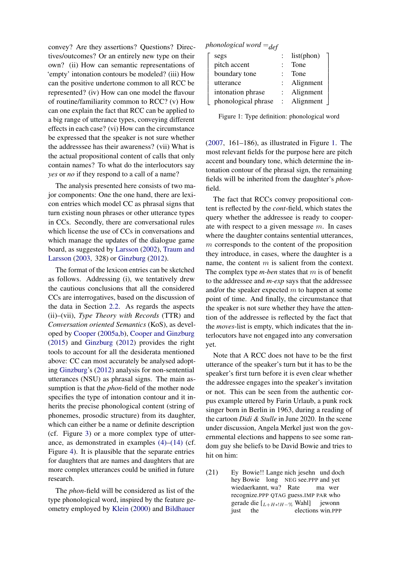convey? Are they assertions? Questions? Directives/outcomes? Or an entirely new type on their own? (ii) How can semantic representations of 'empty' intonation contours be modeled? (iii) How can the positive undertone common to all RCC be represented? (iv) How can one model the flavour of routine/familiarity common to RCC? (v) How can one explain the fact that RCC can be applied to a big range of utterance types, conveying different effects in each case? (vi) How can the circumstance be expressed that the speaker is not sure whether the addresssee has their awareness? (vii) What is the actual propositional content of calls that only contain names? To what do the interlocutors say *yes* or *no* if they respond to a call of a name?

The analysis presented here consists of two major components: One the one hand, there are lexicon entries which model CC as phrasal signs that turn existing noun phrases or other utterance types in CCs. Secondly, there are conversational rules which license the use of CCs in conversations and which manage the updates of the dialogue game board, as suggested by [Larsson](#page-11-15) [\(2002\)](#page-11-15), [Traum and](#page-11-16) [Larsson](#page-11-16) [\(2003,](#page-11-16) 328) or [Ginzburg](#page-10-0) [\(2012\)](#page-10-0).

The format of the lexicon entries can be sketched as follows. Addressing (i), we tentatively drew the cautious conclusions that all the considered CCs are interrogatives, based on the discussion of the data in Section [2.2.](#page-2-9) As regards the aspects (ii)–(vii), *Type Theory with Records* (TTR) and *Conversation oriented Semantics* (KoS), as developed by [Cooper](#page-10-1) [\(2005a](#page-10-1)[,b\)](#page-10-2), [Cooper and Ginzburg](#page-10-19) [\(2015\)](#page-10-19) and [Ginzburg](#page-10-0) [\(2012\)](#page-10-0) provides the right tools to account for all the desiderata mentioned above: CC can most accurately be analysed adopting [Ginzburg'](#page-10-0)s [\(2012\)](#page-10-0) analysis for non-sentential utterances (NSU) as phrasal signs. The main assumption is that the *phon*-field of the mother node specifies the type of intonation contour and it inherits the precise phonological content (string of phonemes, prosodic structure) from its daughter, which can either be a name or definite description (cf. Figure [3\)](#page-8-0) or a more complex type of utterance, as demonstrated in examples  $(4)$ – $(14)$  (cf. Figure [4\)](#page-8-1). It is plausible that the separate entries for daughters that are names and daughters that are more complex utterances could be unified in future research.

The *phon*-field will be considered as list of the type phonological word, inspired by the feature geometry employed by [Klein](#page-10-20) [\(2000\)](#page-10-20) and [Bildhauer](#page-10-21)

<span id="page-6-0"></span>*phonological word* =*def*

| segs                | list(phon) |
|---------------------|------------|
| pitch accent        | Tone       |
| boundary tone       | Tone       |
| utterance           | Alignment  |
| intonation phrase   | Alignment  |
| phonological phrase | Alignment  |
|                     |            |

Figure 1: Type definition: phonological word

[\(2007,](#page-10-21) 161–186), as illustrated in Figure [1.](#page-6-0) The most relevant fields for the purpose here are pitch accent and boundary tone, which determine the intonation contour of the phrasal sign, the remaining fields will be inherited from the daughter's *phon*field.

The fact that RCCs convey propositional content is reflected by the *cont*-field, which states the query whether the addressee is ready to cooperate with respect to a given message  $m$ . In cases where the daughter contains sentential utterances,  $m$  corresponds to the content of the proposition they introduce, in cases, where the daughter is a name, the content  $m$  is salient from the context. The complex type *m-ben* states that m is of benefit to the addressee and *m-exp* says that the addressee and/or the speaker expected  $m$  to happen at some point of time. And finally, the circumstance that the speaker is not sure whether they have the attention of the addressee is reflected by the fact that the *moves*-list is empty, which indicates that the interlocutors have not engaged into any conversation yet.

Note that A RCC does not have to be the first utterance of the speaker's turn but it has to be the speaker's first turn before it is even clear whether the addressee engages into the speaker's invitation or not. This can be seen from the authentic corpus example uttered by Farin Urlaub, a punk rock singer born in Berlin in 1963, during a reading of the cartoon *Didi & Stulle* in June 2020. In the scene under discussion, Angela Merkel just won the governmental elections and happens to see some random guy she beliefs to be David Bowie and tries to hit on him:

<span id="page-6-1"></span> $(21)$ hey Bowie long NEG see.PPP and yet Bowie!! Lange nich jesehn und doch wiedaerkannt, wa? Rate recognize.PPP QTAG guess.IMP PAR who ma wer gerade die  $[L_{+H*}M_{-%}$  Wahl] jewonn just the elections win.PPP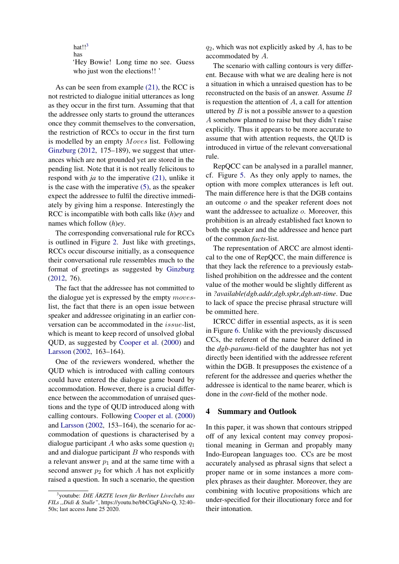hat!! $3$ has

'Hey Bowie! Long time no see. Guess who just won the elections!! '

As can be seen from example [\(21\),](#page-6-1) the RCC is not restricted to dialogue initial utterances as long as they occur in the first turn. Assuming that that the addressee only starts to ground the utterances once they commit themselves to the conversation, the restriction of RCCs to occur in the first turn is modelled by an empty Moves list. Following [Ginzburg](#page-10-0) [\(2012,](#page-10-0) 175–189), we suggest that utterances which are not grounded yet are stored in the pending list. Note that it is not really felicitous to respond with *ja* to the imperative [\(21\),](#page-6-1) unlike it is the case with the imperative [\(5\),](#page-2-0) as the speaker expect the addressee to fulfil the directive immediately by giving him a response. Interestingly the RCC is incompatible with both calls like (*h*)*ey* and names which follow (*h*)*ey*.

The corresponding conversational rule for RCCs is outlined in Figure [2.](#page-8-2) Just like with greetings, RCCs occur discourse initially, as a consequence their conversational rule ressembles much to the format of greetings as suggested by [Ginzburg](#page-10-0) [\(2012,](#page-10-0) 76).

The fact that the addressee has not committed to the dialogue yet is expressed by the empty moveslist, the fact that there is an open issue between speaker and addressee originating in an earlier conversation can be accommodated in the issue-list, which is meant to keep record of unsolved global QUD, as suggested by [Cooper et al.](#page-10-22) [\(2000\)](#page-10-22) and [Larsson](#page-11-15) [\(2002,](#page-11-15) 163–164).

One of the reviewers wondered, whether the QUD which is introduced with calling contours could have entered the dialogue game board by accommodation. However, there is a crucial difference between the accommodation of unraised questions and the type of QUD introduced along with calling contours. Following [Cooper et al.](#page-10-22) [\(2000\)](#page-10-22) and [Larsson](#page-11-15) [\(2002,](#page-11-15) 153–164), the scenario for accommodation of questions is characterised by a dialogue participant A who asks some question  $q_1$ and and dialogue participant  $B$  who responds with a relevant answer  $p_1$  and at the same time with a second answer  $p_2$  for which A has not explicitly raised a question. In such a scenario, the question

 $q_2$ , which was not explicitly asked by A, has to be accommodated by A.

The scenario with calling contours is very different. Because with what we are dealing here is not a situation in which a unraised question has to be reconstructed on the basis of an answer. Assume B is requestion the attention of  $A$ , a call for attention uttered by  $B$  is not a possible answer to a question A somehow planned to raise but they didn't raise explicitly. Thus it appears to be more accurate to assume that with attention requests, the QUD is introduced in virtue of the relevant conversational rule.

RepQCC can be analysed in a parallel manner, cf. Figure [5.](#page-9-0) As they only apply to names, the option with more complex utterances is left out. The main difference here is that the DGB contains an outcome o and the speaker referent does not want the addressee to actualize *o*. Moreover, this prohibition is an already established fact known to both the speaker and the addressee and hence part of the common *facts*-list.

The representation of ARCC are almost identical to the one of RepQCC, the main difference is that they lack the reference to a previously established prohibition on the addressee and the content value of the mother would be slightly different as in *?available(dgb.addr,dgb.spkr,dgb.utt-time*. Due to lack of space the precise phrasal structure will be ommitted here.

ICRCC differ in essential aspects, as it is seen in Figure [6.](#page-9-1) Unlike with the previously discussed CCs, the referent of the name bearer defined in the *dgb-params*-field of the daughter has not yet directly been identified with the addressee referent within the DGB. It presupposes the existence of a referent for the addressee and queries whether the addressee is identical to the name bearer, which is done in the *cont*-field of the mother node.

### 4 Summary and Outlook

In this paper, it was shown that contours stripped off of any lexical content may convey propositional meaning in German and propably many Indo-European languages too. CCs are be most accurately analysed as phrasal signs that select a proper name or in some instances a more complex phrases as their daughter. Moreover, they are combining with locutive propositions which are under-specified for their illocutionary force and for their intonation.

<span id="page-7-0"></span><sup>&</sup>lt;sup>3</sup>youtube: *DIE ÄRZTE lesen für Berliner Liveclubs aus FILs ,,Didi & Stulle"*, https://youtu.be/bbCGqFaNo-Q, 32:40– 50s; last access June 25 2020.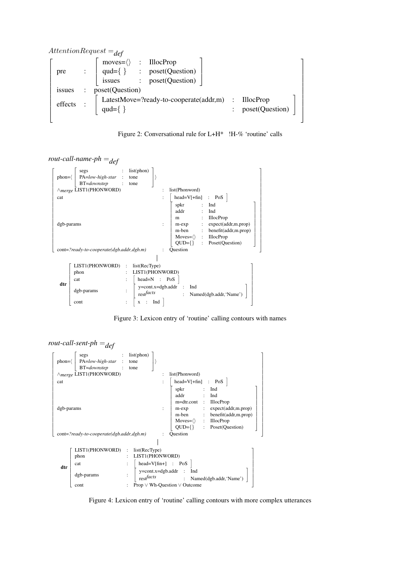<span id="page-8-2"></span>

Figure 2: Conversational rule for L+H\* !H-% 'routine' calls

<span id="page-8-0"></span>*rout-call-name-ph* =*def*

| $phon=\langle$                                                               | segs<br>PA=low-high-star<br>BT=downstep<br>$\wedge$ <sub>merge</sub> LIST1(PHONWORD) | list(phon)<br>tone<br>tone<br>list(Phonword)                                                                                                                 |  |  |  |
|------------------------------------------------------------------------------|--------------------------------------------------------------------------------------|--------------------------------------------------------------------------------------------------------------------------------------------------------------|--|--|--|
| cat                                                                          |                                                                                      | $head=V[+fin]$ : PoS $\vert$<br>spkr<br>Ind<br>addr<br>Ind<br><b>IllocProp</b><br>m                                                                          |  |  |  |
| dgb-params                                                                   |                                                                                      | expect(addr,m.prop)<br>m-exp<br>m-ben<br>benefit(addr,m.prop)<br>$\mathbb{Z}$<br>$Moves = \langle \rangle$ : IllocProp<br>Poset(Question)<br>$QUD=\{\}$<br>÷ |  |  |  |
| cont=?ready-to-cooperate(dgb.addr,dgb.m)<br>Question<br>$\ddot{\phantom{a}}$ |                                                                                      |                                                                                                                                                              |  |  |  |
|                                                                              | LIST1(PHONWORD)<br>phon                                                              | list(RecType)<br>$\ddot{\phantom{a}}$<br>LIST1(PHONWORD)                                                                                                     |  |  |  |
| dtr                                                                          | cat                                                                                  | $head=N$ :<br>PoS                                                                                                                                            |  |  |  |
|                                                                              | dgb-params                                                                           | $y = cont.x = dgb.addr$<br>Ind<br>$\int$ rest $\int$ facts<br>Named(dgb.addr, 'Name')<br>÷                                                                   |  |  |  |
|                                                                              | cont                                                                                 | Ind<br>X                                                                                                                                                     |  |  |  |

Figure 3: Lexicon entry of 'routine' calling contours with names

<span id="page-8-1"></span>*rout-call-sent-ph* =*def*

| $phon=\langle$    | segs<br>PA=low-high-star<br>BT=downstep<br>$\wedge$ merge LIST1(PHONWORD) | $\mathbb{Z}^{\times}$ | list(phon)<br>tone<br>tone           |  | list(Phonword)                                                                                                                                                                                                                                                                                    |
|-------------------|---------------------------------------------------------------------------|-----------------------|--------------------------------------|--|---------------------------------------------------------------------------------------------------------------------------------------------------------------------------------------------------------------------------------------------------------------------------------------------------|
|                   |                                                                           |                       |                                      |  |                                                                                                                                                                                                                                                                                                   |
| cat<br>dgb-params |                                                                           |                       |                                      |  | $head=V[+fin] : Pos$<br>spkr<br>Ind<br>addr<br>Ind<br>m=dtr.cont<br><b>IllocProp</b><br>$\ddot{\phantom{a}}$<br>expect(addr, m, prop)<br>m-exp<br>m-ben<br>benefit(addr,m.prop)<br><b>IllocProp</b><br>Moves= $\langle \rangle$ :<br>$QUD=\{\}$<br>Poset(Question)<br>$\mathcal{L}_{\mathcal{A}}$ |
|                   | $cont='ready-to-cooperate(dgb.addr, dgb.m)$                               |                       |                                      |  | Question                                                                                                                                                                                                                                                                                          |
|                   |                                                                           |                       |                                      |  |                                                                                                                                                                                                                                                                                                   |
|                   | LIST1(PHONWORD)                                                           | $\ddot{\cdot}$        | list(RecType)                        |  |                                                                                                                                                                                                                                                                                                   |
|                   | LIST1(PHONWORD)<br>phon                                                   |                       |                                      |  |                                                                                                                                                                                                                                                                                                   |
|                   | cat                                                                       |                       |                                      |  | head=V[fin+] : PoS                                                                                                                                                                                                                                                                                |
| dtr               | dgb-params                                                                |                       | $\operatorname{rest}^{\text{facts}}$ |  | $y = cont.x = dgb.addr$<br>Ind<br>$\ddot{\cdot}$<br>Named(dgb.addr, 'Name')                                                                                                                                                                                                                       |
|                   | cont                                                                      |                       |                                      |  | Prop $\vee$ Wh-Question $\vee$ Outcome                                                                                                                                                                                                                                                            |

Figure 4: Lexicon entry of 'routine' calling contours with more complex utterances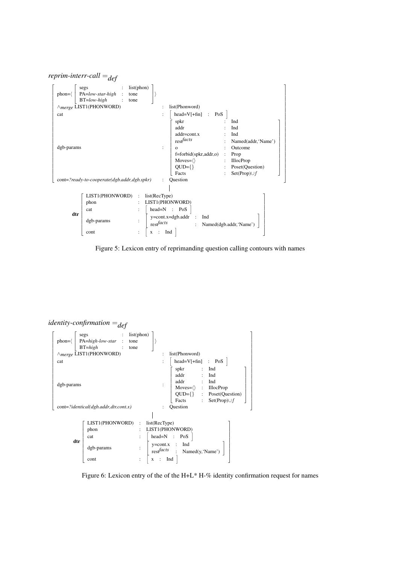# <span id="page-9-0"></span>*reprim-interr-call* =*def*



Figure 5: Lexicon entry of reprimanding question calling contours with names

# <span id="page-9-1"></span>*identity-confirmation* =*def*



Figure 6: Lexicon entry of the of the H+L $*$  H- $\%$  identity confirmation request for names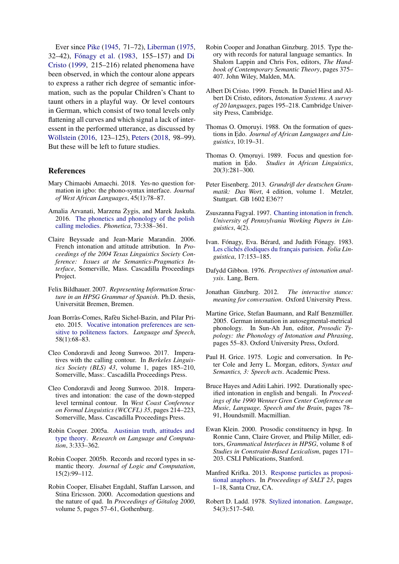Ever since [Pike](#page-11-12) [\(1945,](#page-11-12) 71–72), [Liberman](#page-11-4) [\(1975,](#page-11-4) 32–42), Fónagy et al. [\(1983,](#page-10-23) 155–157) and [Di](#page-10-24) [Cristo](#page-10-24) [\(1999,](#page-10-24) 215–216) related phenomena have been observed, in which the contour alone appears to express a rather rich degree of semantic information, such as the popular Children's Chant to taunt others in a playful way. Or level contours in German, which consist of two tonal levels only flattening all curves and which signal a lack of interessent in the performed utterance, as discussed by Wöllstein [\(2016,](#page-11-17) 123–125), [Peters](#page-11-9) [\(2018,](#page-11-9) 98–99). But these will be left to future studies.

### References

- <span id="page-10-16"></span>Mary Chimaobi Amaechi. 2018. Yes-no question formation in igbo: the phono-syntax interface. *Journal of West African Languages*, 45(1):78–87.
- <span id="page-10-3"></span>Amalia Arvanati, Marzena Żygis, and Marek Jaskuła. 2016. [The phonetics and phonology of the polish](https://doi.org/10.1159/000446001) [calling melodies.](https://doi.org/10.1159/000446001) *Phonetica*, 73:338–361.
- <span id="page-10-12"></span>Claire Beyssade and Jean-Marie Marandin. 2006. French intonation and attitude attribution. In *Proceedings of the 2004 Texas Linguistics Society Conference: Issues at the Semantics-Pragmatics Interface*, Somerville, Mass. Cascadilla Proceedings Project.
- <span id="page-10-21"></span>Felix Bildhauer. 2007. *Representing Information Structure in an HPSG Grammar of Spanish*. Ph.D. thesis, Universität Bremen, Bremen.
- <span id="page-10-5"></span>Joan Borràs-Comes, Rafèu Sichel-Bazin, and Pilar Prieto. 2015. [Vocative intonation preferences are sen](https://doi.org/10.1177/0023830914565441)[sitive to politeness factors.](https://doi.org/10.1177/0023830914565441) *Language and Speech*, 58(1):68–83.
- <span id="page-10-9"></span>Cleo Condoravdi and Jeong Sunwoo. 2017. Imperatives with the calling contour. In *Berkeles Linguistics Society (BLS) 43*, volume 1, pages 185–210, Somerville, Mass:. Cascadilla Proceedings Press.
- <span id="page-10-10"></span>Cleo Condoravdi and Jeong Sunwoo. 2018. Imperatives and intonation: the case of the down-stepped level terminal contour. In *West Coast Conference on Formal Linguistics (WCCFL) 35*, pages 214–223, Somerville, Mass. Cascadilla Proceedings Press.
- <span id="page-10-1"></span>Robin Cooper. 2005a. [Austinian truth, attitudes and](https://doi.org/10.1007/s11168-006-0002-z) [type theory.](https://doi.org/10.1007/s11168-006-0002-z) *Research on Language and Computation*, 3:333–362.
- <span id="page-10-2"></span>Robin Cooper. 2005b. Records and record types in semantic theory. *Journal of Logic and Computation*, 15(2):99–112.
- <span id="page-10-22"></span>Robin Cooper, Elisabet Engdahl, Staffan Larsson, and Stina Ericsson. 2000. Accomodation questions and the nature of qud. In *Proceedings of Götalog 2000*, volume 5, pages 57–61, Gothenburg.
- <span id="page-10-19"></span>Robin Cooper and Jonathan Ginzburg. 2015. Type theory with records for natural language semantics. In Shalom Lappin and Chris Fox, editors, *The Handbook of Contemporary Semantic Theory*, pages 375– 407. John Wiley, Malden, MA.
- <span id="page-10-24"></span>Albert Di Cristo. 1999. French. In Daniel Hirst and Albert Di Cristo, editors, *Intonation Systems. A survey of 20 languages*, pages 195–218. Cambridge University Press, Cambridge.
- <span id="page-10-17"></span>Thomas O. Omoruyi. 1988. On the formation of questions in Edo. Journal of African Languages and Lin*guistics*, 10:19–31.
- <span id="page-10-18"></span>Thomas O. Omoruyi. 1989. Focus and question formation in Edo. Studies in African Linguistics, 20(3):281–300.
- <span id="page-10-13"></span>Peter Eisenberg. 2013. *Grundriß der deutschen Grammatik: Das Wort*, 4 edition, volume 1. Metzler, Stuttgart. GB 1602 E36??
- <span id="page-10-4"></span>Zsuszanna Fagyal. 1997. [Chanting intonation in french.](https://repository.upenn.edu/pwpl/vol4/iss2/6/) *University of Pennsylvania Working Papers in Linguistics*, 4(2).
- <span id="page-10-23"></span>Ivan. Fónagy, Eva. Bérard, and Judith Fónagy. 1983. Les clichés élodiques du français parisien. *Folia Linguistica*, 17:153–185.
- <span id="page-10-7"></span>Dafydd Gibbon. 1976. *Perspectives of intonation analysis*. Lang, Bern.
- <span id="page-10-0"></span>Jonathan Ginzburg. 2012. *The interactive stance: meaning for conversation*. Oxford University Press.
- <span id="page-10-11"></span>Martine Grice, Stefan Baumann, and Ralf Benzmüller. 2005. German intonation in autosegmental-metrical phonology. In Sun-Ah Jun, editor, *Prosodic Typology: the Phonology of Intonation and Phrasing*, pages 55–83. Oxford University Press, Oxford.
- <span id="page-10-15"></span>Paul H. Grice. 1975. Logic and conversation. In Peter Cole and Jerry L. Morgan, editors, *Syntax and Semantics, 3: Speech acts*. Academic Press.
- <span id="page-10-6"></span>Bruce Hayes and Aditi Lahiri. 1992. Durationally specified intonation in english and bengali. In *Proceedings of the 1990 Wenner Gren Center Conference on Music, Language, Speech and the Brain*, pages 78– 91, Houndsmill. Macmillian.
- <span id="page-10-20"></span>Ewan Klein. 2000. Prosodic constituency in hpsg. In Ronnie Cann, Claire Grover, and Philip Miller, editors, *Grammatical Interfaces in HPSG*, volume 8 of *Studies in Constraint-Based Lexicalism*, pages 171– 203. CSLI Publications, Stanford.
- <span id="page-10-14"></span>Manfred Krifka. 2013. [Response particles as proposi](https://doi.org/http://dx.doi.org/10.3765/salt.v23i0.2676)[tional anaphors.](https://doi.org/http://dx.doi.org/10.3765/salt.v23i0.2676) In *Proceedings of SALT 23*, pages 1–18, Santa Cruz, CA.
- <span id="page-10-8"></span>Robert D. Ladd. 1978. [Stylized intonation.](https://doi.org/http://www.jstor.org/stable/412785) *Language*, 54(3):517–540.